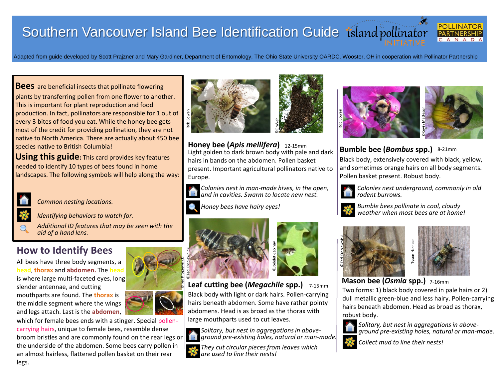## Southern Vancouver Island Bee Identification Guide tsland pollinator



Adapted from guide developed by Scott Prajzner and Mary Gardiner, Department of Entomology, The Ohio State University OARDC, Wooster, OH in cooperation with Pollinator Partnership

**Bees** are beneficial insects that pollinate flowering plants by transferring pollen from one flower to another. This is important for plant reproduction and food production. In fact, pollinators are responsible for 1 out of every 3 bites of food you eat. While the honey bee gets most of the credit for providing pollination, they are not native to North America. There are actually about 450 bee species native to British Columbia!

**Using this guide:** This card provides key features needed to identify 10 types of bees found in home landscapes. The following symbols will help along the way:



*Common nesting locations.*

*Identifying behaviors to watch for.*

*Additional ID features that may be seen with the aid of a hand lens.* 

## **How to Identify Bees**

All bees have three body segments, a **head**, **thorax** and **abdomen.** The **head** is where large multi-faceted eyes, long slender antennae, and cutting mouthparts are found. The **thorax** is the middle segment where the wings and legs attach. Last is the **abdomen**,

which for female bees ends with a stinger. Special pollencarrying hairs, unique to female bees, resemble dense broom bristles and are commonly found on the rear legs or the underside of the abdomen. Some bees carry pollen in an almost hairless, flattened pollen basket on their rear legs.



**Honey bee (***Apis mellifera***) Bumble bee (***Bombus* **spp.)** Light golden to dark brown body with pale and dark hairs in bands on the abdomen. Pollen basket present. Important agricultural pollinators native to Europe.

*Colonies nest in man-made hives, in the open, and in cavities. Swarm to locate new nest.*

*Honey bees have hairy eyes!*



**Leaf cutting bee (***Megachile* **spp.)** 7-15mm Black body with light or dark hairs. Pollen-carrying hairs beneath abdomen. Some have rather pointy abdomens. Head is as broad as the thorax with large mouthparts used to cut leaves.



*Solitary, but nest in aggregations in aboveground pre-existing holes, natural or man-made.*

*They cut circular pieces from leaves which are used to line their nests!*



**Bumble bee (Bombus spp.)** 8-21mm

Black body, extensively covered with black, yellow, and sometimes orange hairs on all body segments.



*Colonies nest underground, commonly in old rodent burrows.* 



*Bumble bees pollinate in cool, cloudy weather when most bees are at home!*





**Mason bee (***Osmia* **spp.)** 7-16mm

Two forms: 1) black body covered in pale hairs or 2) dull metallic green-blue and less hairy. Pollen-carrying hairs beneath abdomen. Head as broad as thorax, robust body.



*Solitary, but nest in aggregations in aboveground pre-existing holes, natural or man-made.*



*Collect mud to line their nests!*